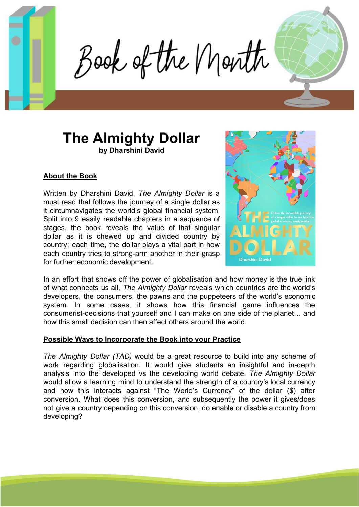Book of the Month

# **The Almighty Dollar by Dharshini David**

## **About the Book**

Written by Dharshini David, *The Almighty Dollar* is a must read that follows the journey of a single dollar as it circumnavigates the world's global financial system. Split into 9 easily readable chapters in a sequence of stages, the book reveals the value of that singular dollar as it is chewed up and divided country by country; each time, the dollar plays a vital part in how each country tries to strong-arm another in their grasp for further economic development.



In an effort that shows off the power of globalisation and how money is the true link of what connects us all, *The Almighty Dollar* reveals which countries are the world's developers, the consumers, the pawns and the puppeteers of the world's economic system. In some cases, it shows how this financial game influences the consumerist-decisions that yourself and I can make on one side of the planet… and how this small decision can then affect others around the world.

#### **Possible Ways to Incorporate the Book into your Practice**

*The Almighty Dollar (TAD)* would be a great resource to build into any scheme of work regarding globalisation. It would give students an insightful and in-depth analysis into the developed vs the developing world debate. *The Almighty Dollar* would allow a learning mind to understand the strength of a country's local currency and how this interacts against "The World's Currency" of the dollar (\$) after conversion**.** What does this conversion, and subsequently the power it gives/does not give a country depending on this conversion, do enable or disable a country from developing?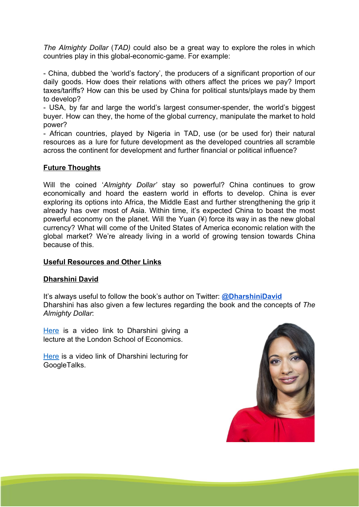*The Almighty Dollar* (*TAD)* could also be a great way to explore the roles in which countries play in this global-economic-game. For example:

- China, dubbed the 'world's factory', the producers of a significant proportion of our daily goods. How does their relations with others affect the prices we pay? Import taxes/tariffs? How can this be used by China for political stunts/plays made by them to develop?

- USA, by far and large the world's largest consumer-spender, the world's biggest buyer. How can they, the home of the global currency, manipulate the market to hold power?

- African countries, played by Nigeria in TAD, use (or be used for) their natural resources as a lure for future development as the developed countries all scramble across the continent for development and further financial or political influence?

### **Future Thoughts**

Will the coined '*Almighty Dollar'* stay so powerful? China continues to grow economically and hoard the eastern world in efforts to develop. China is ever exploring its options into Africa, the Middle East and further strengthening the grip it already has over most of Asia. Within time, it's expected China to boast the most powerful economy on the planet. Will the Yuan (¥) force its way in as the new global currency? What will come of the United States of America economic relation with the global market? We're already living in a world of growing tension towards China because of this.

#### **Useful Resources and Other Links**

#### **Dharshini David**

It's always useful to follow the book's author on Twitter: **[@DharshiniDavid](https://twitter.com/DharshiniDavid)** Dharshini has also given a few lectures regarding the book and the concepts of *The Almighty Dollar*:

[Here](https://www.youtube.com/watch?v=HD0KMG04xEg) is a video link to Dharshini giving a lecture at the London School of Economics.

[Here](https://www.youtube.com/watch?v=vNynCKlICl0) is a video link of Dharshini lecturing for GoogleTalks.